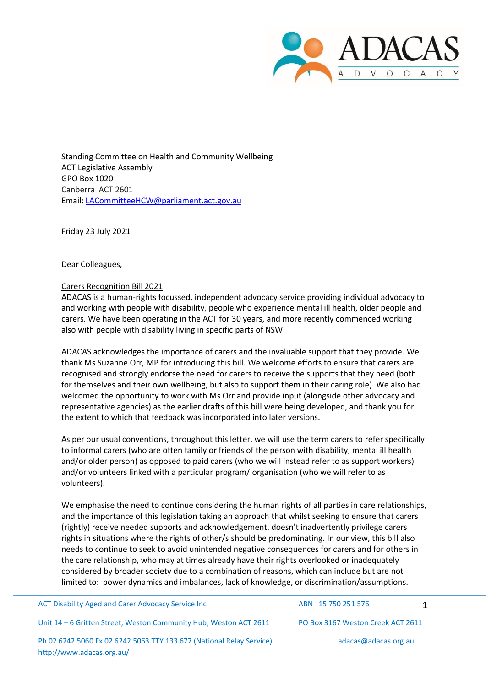

Standing Committee on Health and Community Wellbeing ACT Legislative Assembly GPO Box 1020 Canberra ACT 2601 Email: [LACommitteeHCW@parliament.act.gov.au](mailto:LACommitteeHCW@parliament.act.gov.au)

Friday 23 July 2021

Dear Colleagues,

## Carers Recognition Bill 2021

ADACAS is a human-rights focussed, independent advocacy service providing individual advocacy to and working with people with disability, people who experience mental ill health, older people and carers. We have been operating in the ACT for 30 years, and more recently commenced working also with people with disability living in specific parts of NSW.

ADACAS acknowledges the importance of carers and the invaluable support that they provide. We thank Ms Suzanne Orr, MP for introducing this bill. We welcome efforts to ensure that carers are recognised and strongly endorse the need for carers to receive the supports that they need (both for themselves and their own wellbeing, but also to support them in their caring role). We also had welcomed the opportunity to work with Ms Orr and provide input (alongside other advocacy and representative agencies) as the earlier drafts of this bill were being developed, and thank you for the extent to which that feedback was incorporated into later versions.

As per our usual conventions, throughout this letter, we will use the term carers to refer specifically to informal carers (who are often family or friends of the person with disability, mental ill health and/or older person) as opposed to paid carers (who we will instead refer to as support workers) and/or volunteers linked with a particular program/ organisation (who we will refer to as volunteers).

We emphasise the need to continue considering the human rights of all parties in care relationships, and the importance of this legislation taking an approach that whilst seeking to ensure that carers (rightly) receive needed supports and acknowledgement, doesn't inadvertently privilege carers rights in situations where the rights of other/s should be predominating. In our view, this bill also needs to continue to seek to avoid unintended negative consequences for carers and for others in the care relationship, who may at times already have their rights overlooked or inadequately considered by broader society due to a combination of reasons, which can include but are not limited to: power dynamics and imbalances, lack of knowledge, or discrimination/assumptions.

ACT Disability Aged and Carer Advocacy Service Inc ABN 15 750 251 576 1

Unit 14 – 6 Gritten Street, Weston Community Hub, Weston ACT 2611 PO Box 3167 Weston Creek ACT 2611

Ph 02 6242 5060 Fx 02 6242 5063 TTY 133 677 (National Relay Service) <http://www.adacas.org.au/>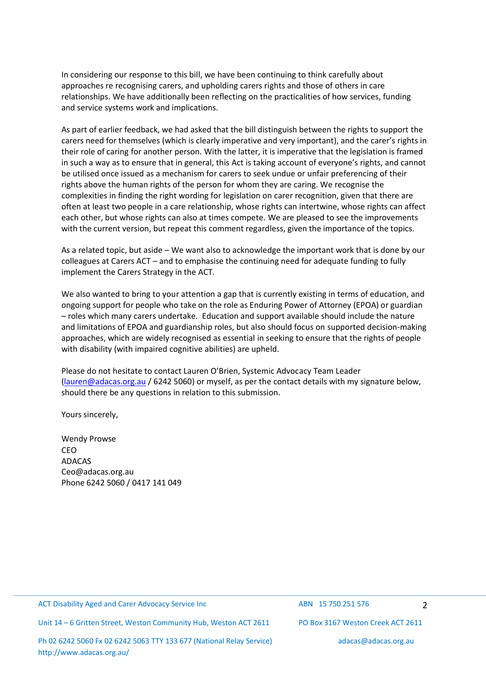In considering our response to this bill, we have been continuing to think carefully about approaches re recognising carers, and upholding carers rights and those of others in care relationships. We have additionally been reflecting on the practicalities of how services, funding and service systems work and implications.

As part of earlier feedback, we had asked that the bill distinguish between the rights to support the carers need for themselves (which is clearly imperative and very important), and the carer's rights in their role of caring for another person. With the latter, it is imperative that the legislation is framed in such a way as to ensure that in general, this Act is taking account of everyone's rights, and cannot be utilised once issued as a mechanism for carers to seek undue or unfair preferencing of their rights above the human rights of the person for whom they are caring. We recognise the complexities in finding the right wording for legislation on carer recognition, given that there are often at least two people in a care relationship, whose rights can intertwine, whose rights can affect each other, but whose rights can also at times compete. We are pleased to see the improvements with the current version, but repeat this comment regardless, given the importance of the topics.

As a related topic, but aside – We want also to acknowledge the important work that is done by our colleagues at Carers ACT – and to emphasise the continuing need for adequate funding to fully implement the Carers Strategy in the ACT.

We also wanted to bring to your attention a gap that is currently existing in terms of education, and ongoing support for people who take on the role as Enduring Power of Attorney (EPOA) or guardian – roles which many carers undertake. Education and support available should include the nature and limitations of EPOA and guardianship roles, but also should focus on supported decision-making approaches, which are widely recognised as essential in seeking to ensure that the rights of people with disability (with impaired cognitive abilities) are upheld.

Please do not hesitate to contact Lauren O'Brien, Systemic Advocacy Team Leader [\(lauren@adacas.org.au](mailto:(lauren@adacas.org.au) / 6242 5060) or myself, as per the contact details with my signature below, should there be any questions in relation to this submission.

Yours sincerely,

Wendy Prowse CEO ADACAS [Ceo@adacas.org.au](mailto:Ceo@adacas.org.au) Phone 6242 5060 / 0417 141 049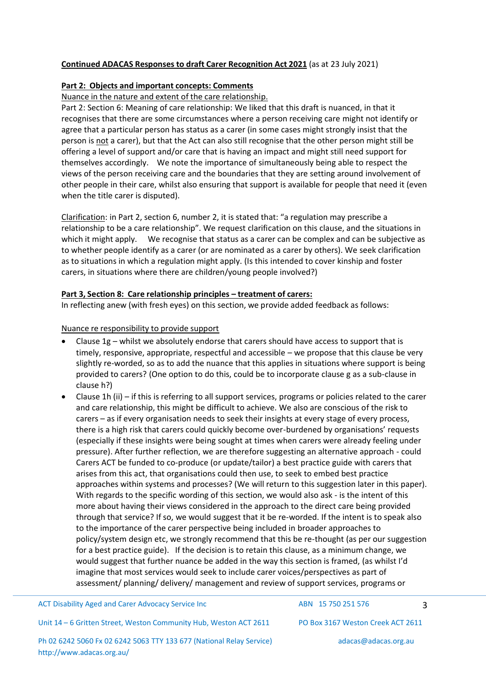# **Continued ADACAS Responses to draft Carer Recognition Act 2021** (as at 23 July 2021)

# **Part 2: Objects and important concepts: Comments**

# Nuance in the nature and extent of the care relationship.

Part 2: Section 6: Meaning of care relationship: We liked that this draft is nuanced, in that it recognises that there are some circumstances where a person receiving care might not identify or agree that a particular person has status as a carer (in some cases might strongly insist that the person is not a carer), but that the Act can also still recognise that the other person might still be offering a level of support and/or care that is having an impact and might still need support for themselves accordingly. We note the importance of simultaneously being able to respect the views of the person receiving care and the boundaries that they are setting around involvement of other people in their care, whilst also ensuring that support is available for people that need it (even when the title carer is disputed).

Clarification: in Part 2, section 6, number 2, it is stated that: "a regulation may prescribe a relationship to be a care relationship". We request clarification on this clause, and the situations in which it might apply. We recognise that status as a carer can be complex and can be subjective as to whether people identify as a carer (or are nominated as a carer by others). We seek clarification as to situations in which a regulation might apply. (Is this intended to cover kinship and foster carers, in situations where there are children/young people involved?)

### **Part 3, Section 8: Care relationship principles – treatment of carers:**

In reflecting anew (with fresh eyes) on this section, we provide added feedback as follows:

### Nuance re responsibility to provide support

<http://www.adacas.org.au/>

- Clause 1g whilst we absolutely endorse that carers should have access to support that is timely, responsive, appropriate, respectful and accessible – we propose that this clause be very slightly re-worded, so as to add the nuance that this applies in situations where support is being provided to carers? (One option to do this, could be to incorporate clause g as a sub-clause in clause h?)
- Clause 1h (ii) if this is referring to all support services, programs or policies related to the carer and care relationship, this might be difficult to achieve. We also are conscious of the risk to carers – as if every organisation needs to seek their insights at every stage of every process, there is a high risk that carers could quickly become over-burdened by organisations' requests (especially if these insights were being sought at times when carers were already feeling under pressure). After further reflection, we are therefore suggesting an alternative approach - could Carers ACT be funded to co-produce (or update/tailor) a best practice guide with carers that arises from this act, that organisations could then use, to seek to embed best practice approaches within systems and processes? (We will return to this suggestion later in this paper). With regards to the specific wording of this section, we would also ask - is the intent of this more about having their views considered in the approach to the direct care being provided through that service? If so, we would suggest that it be re-worded. If the intent is to speak also to the importance of the carer perspective being included in broader approaches to policy/system design etc, we strongly recommend that this be re-thought (as per our suggestion for a best practice guide). If the decision is to retain this clause, as a minimum change, we would suggest that further nuance be added in the way this section is framed, (as whilst I'd imagine that most services would seek to include carer voices/perspectives as part of assessment/ planning/ delivery/ management and review of support services, programs or

| <b>ACT Disability Aged and Carer Advocacy Service Inc.</b>           |  |  | ABN 15 750 251 576 |                                   | 3 |
|----------------------------------------------------------------------|--|--|--------------------|-----------------------------------|---|
| Unit 14 - 6 Gritten Street, Weston Community Hub, Weston ACT 2611    |  |  |                    | PO Box 3167 Weston Creek ACT 2611 |   |
| Ph 02 6242 5060 Fx 02 6242 5063 TTY 133 677 (National Relay Service) |  |  |                    | adacas@adacas.org.au              |   |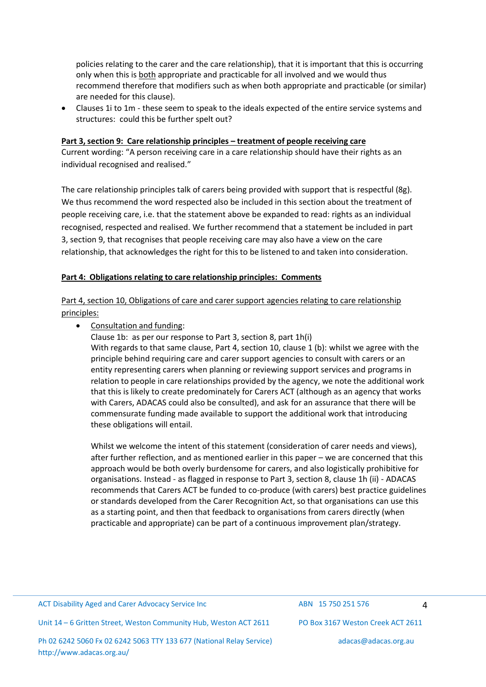policies relating to the carer and the care relationship), that it is important that this is occurring only when this is both appropriate and practicable for all involved and we would thus recommend therefore that modifiers such as when both appropriate and practicable (or similar) are needed for this clause).

• Clauses 1i to 1m - these seem to speak to the ideals expected of the entire service systems and structures: could this be further spelt out?

### **Part 3,section 9: Care relationship principles – treatment of people receiving care**

Current wording: "A person receiving care in a care relationship should have their rights as an individual recognised and realised."

The care relationship principles talk of carers being provided with support that is respectful (8g). We thus recommend the word respected also be included in this section about the treatment of people receiving care, i.e. that the statement above be expanded to read: rights as an individual recognised, respected and realised. We further recommend that a statement be included in part 3, section 9, that recognises that people receiving care may also have a view on the care relationship, that acknowledges the right for this to be listened to and taken into consideration.

### **Part 4: Obligations relating to care relationship principles: Comments**

Part 4, section 10, Obligations of care and carer support agencies relating to care relationship principles:

### • Consultation and funding:

Clause 1b: as per our response to Part 3, section 8, part 1h(i) With regards to that same clause, Part 4, section 10, clause 1 (b): whilst we agree with the principle behind requiring care and carer support agencies to consult with carers or an entity representing carers when planning or reviewing support services and programs in relation to people in care relationships provided by the agency, we note the additional work that this is likely to create predominately for Carers ACT (although as an agency that works with Carers, ADACAS could also be consulted), and ask for an assurance that there will be commensurate funding made available to support the additional work that introducing these obligations will entail.

Whilst we welcome the intent of this statement (consideration of carer needs and views), after further reflection, and as mentioned earlier in this paper – we are concerned that this approach would be both overly burdensome for carers, and also logistically prohibitive for organisations. Instead - as flagged in response to Part 3, section 8, clause 1h (ii) - ADACAS recommends that Carers ACT be funded to co-produce (with carers) best practice guidelines or standards developed from the Carer Recognition Act, so that organisations can use this as a starting point, and then that feedback to organisations from carers directly (when practicable and appropriate) can be part of a continuous improvement plan/strategy.